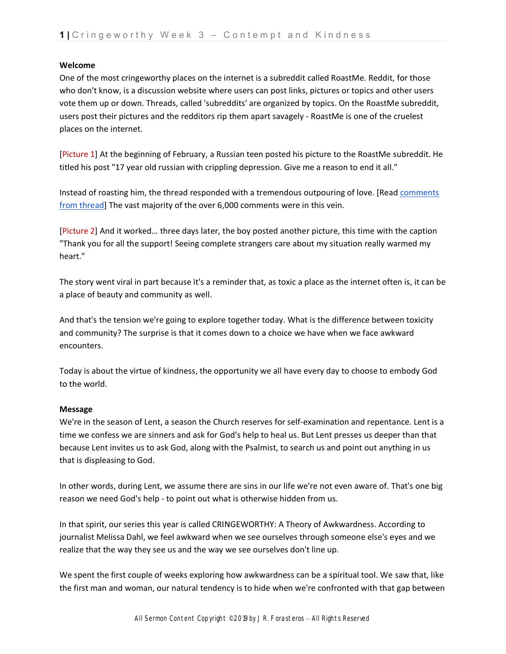#### **Welcome**

One of the most cringeworthy places on the internet is a subreddit called RoastMe. Reddit, for those who don't know, is a discussion website where users can post links, pictures or topics and other users vote them up or down. Threads, called 'subreddits' are organized by topics. On the RoastMe subreddit, users post their pictures and the redditors rip them apart savagely - RoastMe is one of the cruelest places on the internet.

[Picture 1] At the beginning of February, a Russian teen posted his picture to the RoastMe subreddit. He titled his post "17 year old russian with crippling depression. Give me a reason to end it all."

Instead of roasting him, the thread responded with a tremendous outpouring of love. [Read comments [from thread\]](https://www.boredpanda.com/russian-guy-crippling-depression-roast-me-people-refuse-wholesome-reddit/?utm_source=google&utm_medium=organic&utm_campaign=organic&fbclid=IwAR2_Ftw9GT5oZ2KVrmt3ge3mmBVlkFZcXFfK3isUICuB1Xu78WKMu68_OHA) The vast majority of the over 6,000 comments were in this vein.

[Picture 2] And it worked… three days later, the boy posted another picture, this time with the caption "Thank you for all the support! Seeing complete strangers care about my situation really warmed my heart."

The story went viral in part because it's a reminder that, as toxic a place as the internet often is, it can be a place of beauty and community as well.

And that's the tension we're going to explore together today. What is the difference between toxicity and community? The surprise is that it comes down to a choice we have when we face awkward encounters.

Today is about the virtue of kindness, the opportunity we all have every day to choose to embody God to the world.

## **Message**

We're in the season of Lent, a season the Church reserves for self-examination and repentance. Lent is a time we confess we are sinners and ask for God's help to heal us. But Lent presses us deeper than that because Lent invites us to ask God, along with the Psalmist, to search us and point out anything in us that is displeasing to God.

In other words, during Lent, we assume there are sins in our life we're not even aware of. That's one big reason we need God's help - to point out what is otherwise hidden from us.

In that spirit, our series this year is called CRINGEWORTHY: A Theory of Awkwardness. According to journalist Melissa Dahl, we feel awkward when we see ourselves through someone else's eyes and we realize that the way they see us and the way we see ourselves don't line up.

We spent the first couple of weeks exploring how awkwardness can be a spiritual tool. We saw that, like the first man and woman, our natural tendency is to hide when we're confronted with that gap between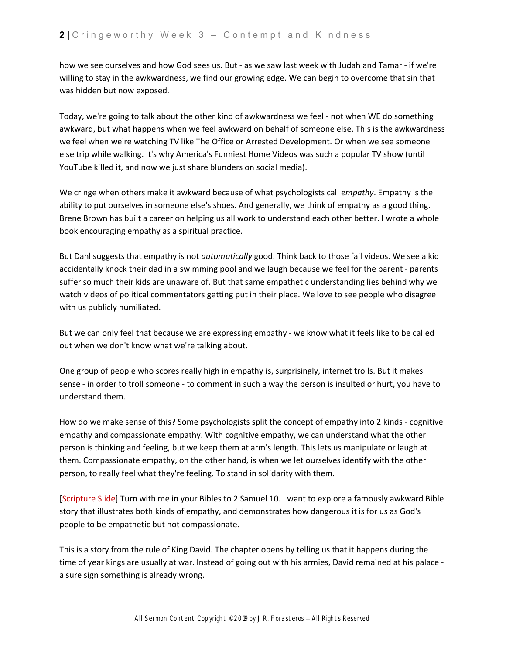how we see ourselves and how God sees us. But - as we saw last week with Judah and Tamar - if we're willing to stay in the awkwardness, we find our growing edge. We can begin to overcome that sin that was hidden but now exposed.

Today, we're going to talk about the other kind of awkwardness we feel - not when WE do something awkward, but what happens when we feel awkward on behalf of someone else. This is the awkwardness we feel when we're watching TV like The Office or Arrested Development. Or when we see someone else trip while walking. It's why America's Funniest Home Videos was such a popular TV show (until YouTube killed it, and now we just share blunders on social media).

We cringe when others make it awkward because of what psychologists call *empathy*. Empathy is the ability to put ourselves in someone else's shoes. And generally, we think of empathy as a good thing. Brene Brown has built a career on helping us all work to understand each other better. I wrote a whole book encouraging empathy as a spiritual practice.

But Dahl suggests that empathy is not *automatically* good. Think back to those fail videos. We see a kid accidentally knock their dad in a swimming pool and we laugh because we feel for the parent - parents suffer so much their kids are unaware of. But that same empathetic understanding lies behind why we watch videos of political commentators getting put in their place. We love to see people who disagree with us publicly humiliated.

But we can only feel that because we are expressing empathy - we know what it feels like to be called out when we don't know what we're talking about.

One group of people who scores really high in empathy is, surprisingly, internet trolls. But it makes sense - in order to troll someone - to comment in such a way the person is insulted or hurt, you have to understand them.

How do we make sense of this? Some psychologists split the concept of empathy into 2 kinds - cognitive empathy and compassionate empathy. With cognitive empathy, we can understand what the other person is thinking and feeling, but we keep them at arm's length. This lets us manipulate or laugh at them. Compassionate empathy, on the other hand, is when we let ourselves identify with the other person, to really feel what they're feeling. To stand in solidarity with them.

[Scripture Slide] Turn with me in your Bibles to 2 Samuel 10. I want to explore a famously awkward Bible story that illustrates both kinds of empathy, and demonstrates how dangerous it is for us as God's people to be empathetic but not compassionate.

This is a story from the rule of King David. The chapter opens by telling us that it happens during the time of year kings are usually at war. Instead of going out with his armies, David remained at his palace a sure sign something is already wrong.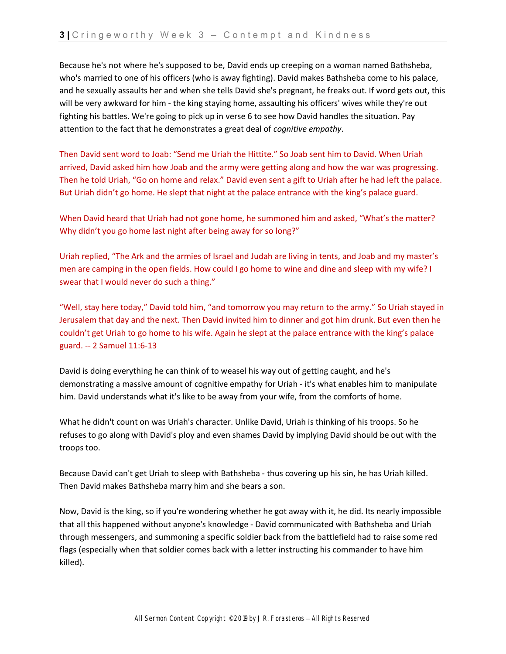Because he's not where he's supposed to be, David ends up creeping on a woman named Bathsheba, who's married to one of his officers (who is away fighting). David makes Bathsheba come to his palace, and he sexually assaults her and when she tells David she's pregnant, he freaks out. If word gets out, this will be very awkward for him - the king staying home, assaulting his officers' wives while they're out fighting his battles. We're going to pick up in verse 6 to see how David handles the situation. Pay attention to the fact that he demonstrates a great deal of *cognitive empathy*.

Then David sent word to Joab: "Send me Uriah the Hittite." So Joab sent him to David. When Uriah arrived, David asked him how Joab and the army were getting along and how the war was progressing. Then he told Uriah, "Go on home and relax." David even sent a gift to Uriah after he had left the palace. But Uriah didn't go home. He slept that night at the palace entrance with the king's palace guard.

When David heard that Uriah had not gone home, he summoned him and asked, "What's the matter? Why didn't you go home last night after being away for so long?"

Uriah replied, "The Ark and the armies of Israel and Judah are living in tents, and Joab and my master's men are camping in the open fields. How could I go home to wine and dine and sleep with my wife? I swear that I would never do such a thing."

"Well, stay here today," David told him, "and tomorrow you may return to the army." So Uriah stayed in Jerusalem that day and the next. Then David invited him to dinner and got him drunk. But even then he couldn't get Uriah to go home to his wife. Again he slept at the palace entrance with the king's palace guard. -- 2 Samuel 11:6-13

David is doing everything he can think of to weasel his way out of getting caught, and he's demonstrating a massive amount of cognitive empathy for Uriah - it's what enables him to manipulate him. David understands what it's like to be away from your wife, from the comforts of home.

What he didn't count on was Uriah's character. Unlike David, Uriah is thinking of his troops. So he refuses to go along with David's ploy and even shames David by implying David should be out with the troops too.

Because David can't get Uriah to sleep with Bathsheba - thus covering up his sin, he has Uriah killed. Then David makes Bathsheba marry him and she bears a son.

Now, David is the king, so if you're wondering whether he got away with it, he did. Its nearly impossible that all this happened without anyone's knowledge - David communicated with Bathsheba and Uriah through messengers, and summoning a specific soldier back from the battlefield had to raise some red flags (especially when that soldier comes back with a letter instructing his commander to have him killed).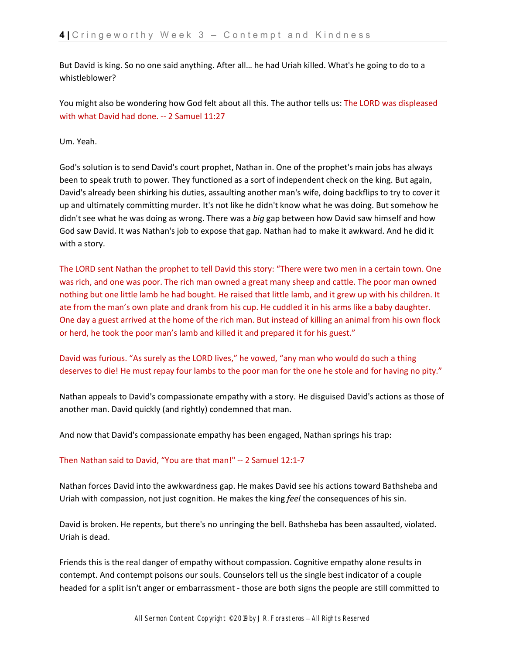But David is king. So no one said anything. After all… he had Uriah killed. What's he going to do to a whistleblower?

You might also be wondering how God felt about all this. The author tells us: The LORD was displeased with what David had done. -- 2 Samuel 11:27

Um. Yeah.

God's solution is to send David's court prophet, Nathan in. One of the prophet's main jobs has always been to speak truth to power. They functioned as a sort of independent check on the king. But again, David's already been shirking his duties, assaulting another man's wife, doing backflips to try to cover it up and ultimately committing murder. It's not like he didn't know what he was doing. But somehow he didn't see what he was doing as wrong. There was a *big* gap between how David saw himself and how God saw David. It was Nathan's job to expose that gap. Nathan had to make it awkward. And he did it with a story.

The LORD sent Nathan the prophet to tell David this story: "There were two men in a certain town. One was rich, and one was poor. The rich man owned a great many sheep and cattle. The poor man owned nothing but one little lamb he had bought. He raised that little lamb, and it grew up with his children. It ate from the man's own plate and drank from his cup. He cuddled it in his arms like a baby daughter. One day a guest arrived at the home of the rich man. But instead of killing an animal from his own flock or herd, he took the poor man's lamb and killed it and prepared it for his guest."

David was furious. "As surely as the LORD lives," he vowed, "any man who would do such a thing deserves to die! He must repay four lambs to the poor man for the one he stole and for having no pity."

Nathan appeals to David's compassionate empathy with a story. He disguised David's actions as those of another man. David quickly (and rightly) condemned that man.

And now that David's compassionate empathy has been engaged, Nathan springs his trap:

## Then Nathan said to David, "You are that man!" -- 2 Samuel 12:1-7

Nathan forces David into the awkwardness gap. He makes David see his actions toward Bathsheba and Uriah with compassion, not just cognition. He makes the king *feel* the consequences of his sin.

David is broken. He repents, but there's no unringing the bell. Bathsheba has been assaulted, violated. Uriah is dead.

Friends this is the real danger of empathy without compassion. Cognitive empathy alone results in contempt. And contempt poisons our souls. Counselors tell us the single best indicator of a couple headed for a split isn't anger or embarrassment - those are both signs the people are still committed to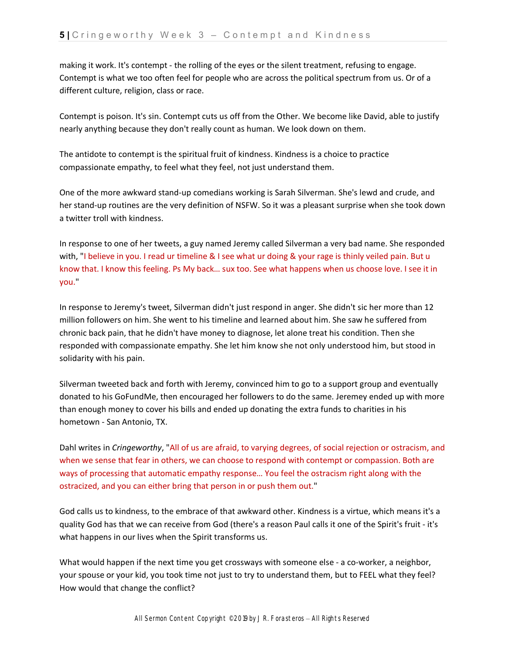making it work. It's contempt - the rolling of the eyes or the silent treatment, refusing to engage. Contempt is what we too often feel for people who are across the political spectrum from us. Or of a different culture, religion, class or race.

Contempt is poison. It's sin. Contempt cuts us off from the Other. We become like David, able to justify nearly anything because they don't really count as human. We look down on them.

The antidote to contempt is the spiritual fruit of kindness. Kindness is a choice to practice compassionate empathy, to feel what they feel, not just understand them.

One of the more awkward stand-up comedians working is Sarah Silverman. She's lewd and crude, and her stand-up routines are the very definition of NSFW. So it was a pleasant surprise when she took down a twitter troll with kindness.

In response to one of her tweets, a guy named Jeremy called Silverman a very bad name. She responded with, "I believe in you. I read ur timeline & I see what ur doing & your rage is thinly veiled pain. But u know that. I know this feeling. Ps My back… sux too. See what happens when us choose love. I see it in you."

In response to Jeremy's tweet, Silverman didn't just respond in anger. She didn't sic her more than 12 million followers on him. She went to his timeline and learned about him. She saw he suffered from chronic back pain, that he didn't have money to diagnose, let alone treat his condition. Then she responded with compassionate empathy. She let him know she not only understood him, but stood in solidarity with his pain.

Silverman tweeted back and forth with Jeremy, convinced him to go to a support group and eventually donated to his GoFundMe, then encouraged her followers to do the same. Jeremey ended up with more than enough money to cover his bills and ended up donating the extra funds to charities in his hometown - San Antonio, TX.

Dahl writes in *Cringeworthy*, "All of us are afraid, to varying degrees, of social rejection or ostracism, and when we sense that fear in others, we can choose to respond with contempt or compassion. Both are ways of processing that automatic empathy response… You feel the ostracism right along with the ostracized, and you can either bring that person in or push them out."

God calls us to kindness, to the embrace of that awkward other. Kindness is a virtue, which means it's a quality God has that we can receive from God (there's a reason Paul calls it one of the Spirit's fruit - it's what happens in our lives when the Spirit transforms us.

What would happen if the next time you get crossways with someone else - a co-worker, a neighbor, your spouse or your kid, you took time not just to try to understand them, but to FEEL what they feel? How would that change the conflict?